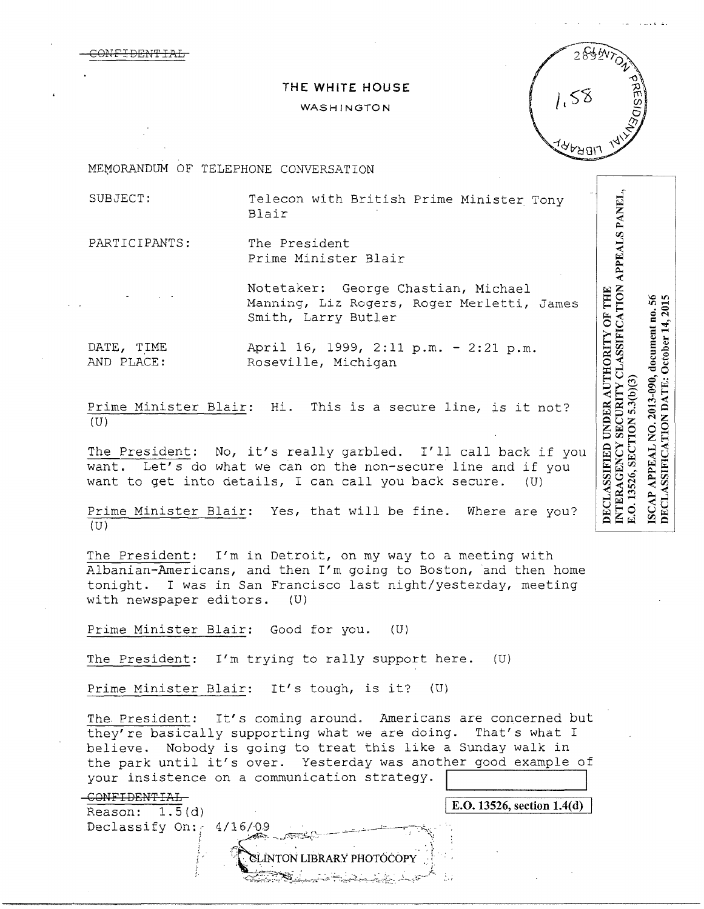

# THE WHITE HOUSE

## WASHINGTON

MEMORANDUM OF TELEPHONE CONVERSATION

SUBJECT: Telecon with British Prime Minister Tony Blair

PARTICIPANTS: The President Prime Minister Blair

> Notetaker: George Chastian, Michael Manning, Liz Rogers, Roger Merletti, James Smith, Larry Butler

DATE, TIME AND PLACE:

April 16, 1999, 2:11 p.m. - 2:21 p.m. Roseville, Michigan

Prime Minister Blair: Hi. This is a secure line, is it not?  $(U)$ 

The President: No, it's really garbled. I'll call back if you want. Let's do what we can on the non-secure line and if you want to get into details, I can call you back secure.  $(U)$ 

Prime Minister Blair: Yes, that will be fine. Where are you?  $(U)$ 

The President: I'm in Detroit, on my way to a meeting with Albanian-Americans, and then I'm going to Boston, and then home tonight. I was in San Francisco last night/yesterday, meeting with newspaper editors.  $(U)$ 

Prime Minister Blair: Good for you. (U)

The President: I'm trying to rally support here. (U)

Prime Minister Blair: It's tough, is it?  $(U)$ 

The President: It's coming around. Americans are concerned but they're basically supporting what we are doing. That's what I believe. Nobody is going to treat this like a Sunday walk in the park until it's over. Yesterday was another good example of your insistence on a communication strategy.

**SLÍNTON LIBRARY PHOTOCOP** 

#### -CONFIDENTIAL

E.O. 13526, section 1.4(d)

Reason:  $1.5(d)$ Declassify On:  $4/16/09$ 

DECLASSIFICATION DATE: October 14, 2015 SCAP APPEAL NO. 2013-090, document no. 56 E.O. 13526, SECTION 5.3(b)(3)

NTERAGENCY SECURITY CLASSIFICATION APPEALS PANEL,

**DECLASSIFIED UNDER AUTHORITY OF THE**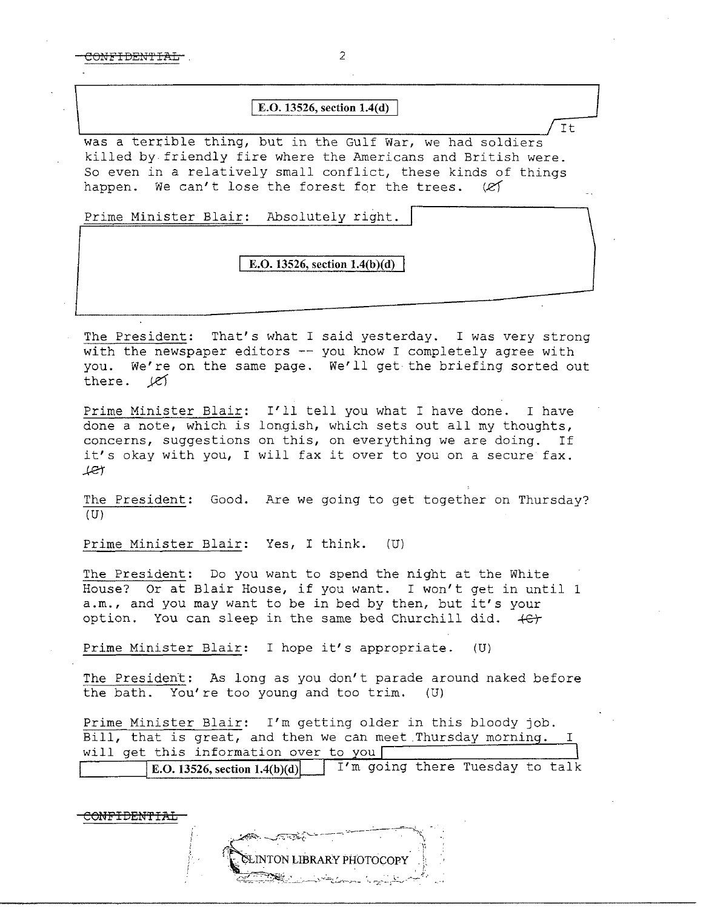COMFIDENTIAL 2

## **E.O. 13526, section 1.4(d)**

 $\sqrt{t}$ was a terrible thing, but in the Gulf War, we had soldiers killed by friendly fire where the Americans and British were. So even in a relatively small conflict, these kinds of things happen. We can't lose the forest for the trees.  $(2)$ 

Prime Minister Blair: Absolutely right.

### **E.O. 13526, section 1.4(b)(d)**

The President: That's what I said yesterday. I was very strong with the newspaper editors -- you know I completely agree with you. We're on the same page. We'll get the briefing sorted out there.  $\cancel{\mathcal{C}}$ 

Prime Minister Blair: I'll tell you what I have done. I have done a note, which is longish, which sets out all my thoughts, concerns, suggestions on this, on everything we are doing. If it's okay with you, I will fax it over to you on a secure fax. .ket

The President: Good. Are we going to get together on Thursday?  $(U)$ 

Prime Minister Blair: Yes, I think. (U)

The President: Do you want to spend the night at the White House? Or at Blair House, if you want. I won't get in until 1 a.m., and you may want to be in bed by then, but it's your option. You can sleep in the same bed Churchill did.  $+ef$ 

Prime Minister Blair: I hope it's appropriate. (U)

The President: As long as you don't parade around naked before the bath. You're too young and too trim. (U)

Prime Minister Blair: I'm getting older in this bloody job. Bill, that is great, and then we can meet Thursday morning. I will get this information over to you | E.O. **13526, section l.4(b)(d)** I'm going there Tuesday to talk

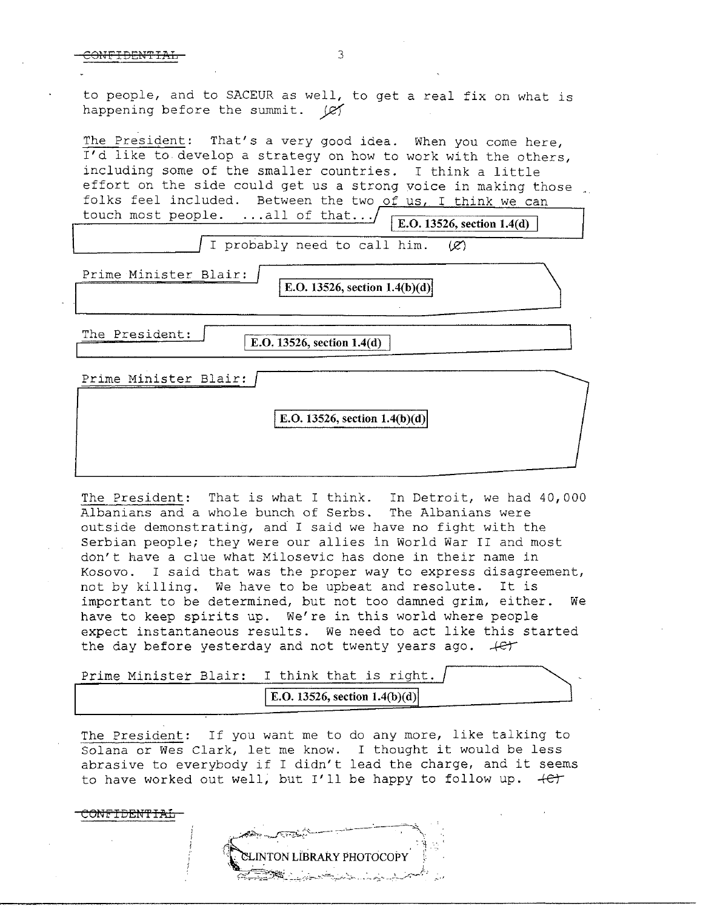to people, and to SACEUR as well, to get a real fix on what is happening before the summit. ( $\cancel{c}$ 

The President: That's a very good idea. When you come here, I'd like to develop a strategy on how to work with the others, including some of the smaller countries. I think a little effort on the side could get us a strong voice in making those folks feel included. Between the two of us, I think we can touch most people.  $\ldots$  all of that.../ **E.O. 13526, section 1.4(d)** 

I probably need to call him.  $(R)$ 

**Prime Minister Blair: IE.O. 13526, section 1.4(b)(d)** 

The President:

CONFIDENTIAL

**E.O. 13526, section 1.4(d)** 

Prime Minister Blair:

**E.O. 13526, section 1.4(b)(d)** 

The President: That is what I think. In Detroit, we had 40,000 Albanians and a whole bunch of Serbs. The Albanians were outside demonstrating, and I said we have no fight with the Serbian people; they were our allies in World War II and most don't have a clue what Milosevic has done in their name in Kosovo. I said that was the proper way to express disagreement, not by killing. We have to be upbeat and resolute. It is important to be determined, but not too damned grim, either. We have to keep spirits up. We're in this world where people expect instantaneous results. We need to act like this started the day before yesterday and not twenty years ago.  $+e^+$ 

| Prime Minister Blair: I think that is right. |
|----------------------------------------------|
| E.O. 13526, section $1.4(b)(d)$              |

The President: If you want me to do any more, like talking to Solana or Wes Clark, let me know. I thought it would be less abrasive to everybody if I didn't lead the charge, and it seems to have worked out well; but I'll be happy to follow up. *.+er-*